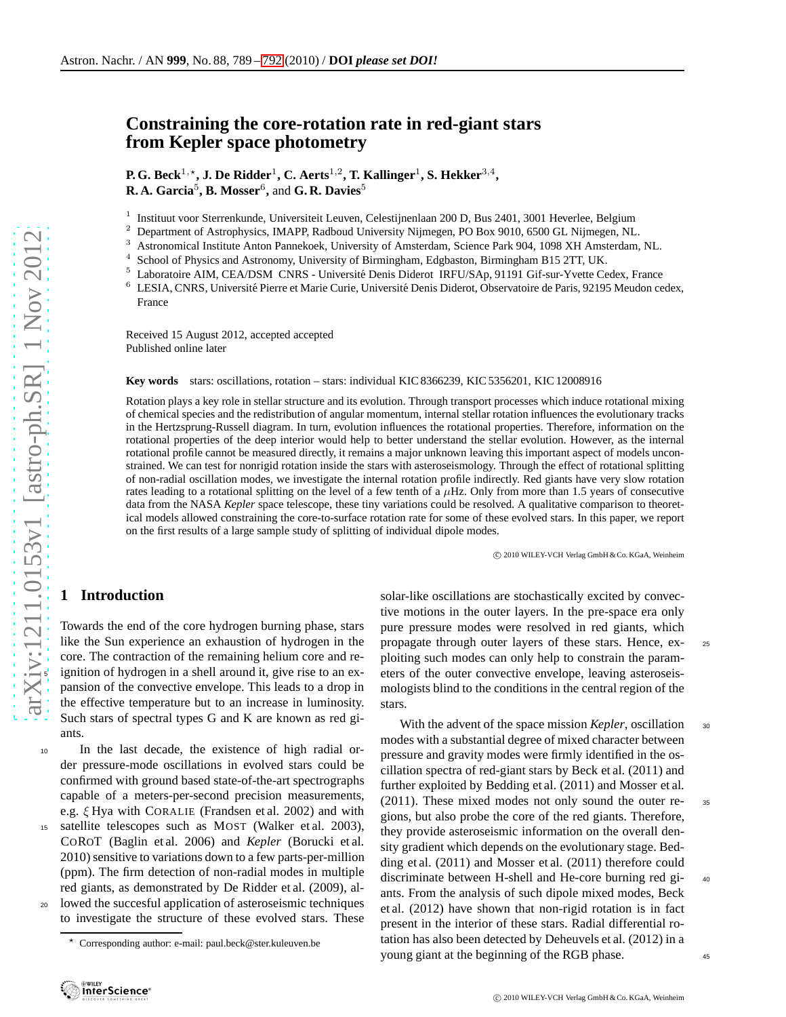# **Constraining the core-rotation rate in red-giant stars from Kepler space photometry**

**P. G. Beck** $^{1,\star}$ **, J. De Ridder** $^{1}$ **, C. Aerts** $^{1,2}$ **, T. Kallinger** $^{1}$ **, S. Hekker** $^{3,4}$ **, R. A. Garcia**<sup>5</sup> **, B. Mosser**<sup>6</sup> **,** and **G. R. Davies**<sup>5</sup>

1 Instituut voor Sterrenkunde, Universiteit Leuven, Celestijnenlaan 200 D, Bus 2401, 3001 Heverlee, Belgium

<sup>2</sup> Department of Astrophysics, IMAPP, Radboud University Nijmegen, PO Box 9010, 6500 GL Nijmegen, NL.<br><sup>3</sup> Astronomical Institute Anton Pannakoak, University of Amsterdam, Science Park 904, 1098 VH Amsterdam.

<sup>3</sup> Astronomical Institute Anton Pannekoek, University of Amsterdam, Science Park 904, 1098 XH Amsterdam, NL.<br><sup>4</sup> School of Physics and Astronomy University of Birmingham Edghaston, Birmingham B15.2TT UK

<sup>4</sup> School of Physics and Astronomy, University of Birmingham, Edgbaston, Birmingham B15 2TT, UK.

<sup>5</sup> Laboratoire AIM, CEA/DSM CNRS - Université Denis Diderot IRFU/SAp, 91191 Gif-sur-Yvette Cedex, France 6 I ESIA CNRS Université Pierre et Marie Curie Université Denis Diderot Observatoire de Paris 92195 Meudon ce

LESIA, CNRS, Université Pierre et Marie Curie, Université Denis Diderot, Observatoire de Paris, 92195 Meudon cedex, France

Received 15 August 2012, accepted accepted Published online later

**Key words** stars: oscillations, rotation – stars: individual KIC 8366239, KIC 5356201, KIC 12008916

Rotation plays a key role in stellar structure and its evolution. Through transport processes which induce rotational mixing of chemical species and the redistribution of angular momentum, internal stellar rotation influences the evolutionary tracks in the Hertzsprung-Russell diagram. In turn, evolution influences the rotational properties. Therefore, information on the rotational properties of the deep interior would help to better understand the stellar evolution. However, as the internal rotational profile cannot be measured directly, it remains a major unknown leaving this important aspect of models unconstrained. We can test for nonrigid rotation inside the stars with asteroseismology. Through the effect of rotational splitting of non-radial oscillation modes, we investigate the internal rotation profile indirectly. Red giants have very slow rotation rates leading to a rotational splitting on the level of a few tenth of a  $\mu$ Hz. Only from more than 1.5 years of consecutive data from the NASA *Kepler* space telescope, these tiny variations could be resolved. A qualitative comparison to theoretical models allowed constraining the core-to-surface rotation rate for some of these evolved stars. In this paper, we report on the first results of a large sample study of splitting of individual dipole modes.

c 2010 WILEY-VCH Verlag GmbH & Co. KGaA, Weinheim

## **1 Introduction**

Towards the end of the core hydrogen burning phase, stars like the Sun experience an exhaustion of hydrogen in the core. The contraction of the remaining helium core and reignition of hydrogen in a shell around it, give rise to an expansion of the convective envelope. This leads to a drop in the effective temperature but to an increase in luminosity. Such stars of spectral types G and K are known as red giants.

<sup>10</sup> In the last decade, the existence of high radial order pressure-mode oscillations in evolved stars could be confirmed with ground based state-of-the-art spectrographs capable of a meters-per-second precision measurements, e.g. ξ Hya with CORALIE (Frandsen et al. 2002) and with <sup>15</sup> satellite telescopes such as MOST (Walker et al. 2003), COROT (Baglin et al. 2006) and *Kepler* (Borucki et al. 2010) sensitive to variations down to a few parts-per-million (ppm). The firm detection of non-radial modes in multiple red giants, as demonstrated by De Ridder et al. (2009), allowed the succesful application of asteroseismic techniques

to investigate the structure of these evolved stars. These

solar-like oscillations are stochastically excited by convective motions in the outer layers. In the pre-space era only pure pressure modes were resolved in red giants, which propagate through outer layers of these stars. Hence, ex- <sup>25</sup> ploiting such modes can only help to constrain the parameters of the outer convective envelope, leaving asteroseismologists blind to the conditions in the central region of the stars.

With the advent of the space mission *Kepler*, oscillation <sup>30</sup> modes with a substantial degree of mixed character between pressure and gravity modes were firmly identified in the oscillation spectra of red-giant stars by Beck et al. (2011) and further exploited by Bedding et al. (2011) and Mosser et al. (2011). These mixed modes not only sound the outer re- <sup>35</sup> gions, but also probe the core of the red giants. Therefore, they provide asteroseismic information on the overall density gradient which depends on the evolutionary stage. Bedding et al. (2011) and Mosser et al. (2011) therefore could discriminate between H-shell and He-core burning red gi- <sup>40</sup> ants. From the analysis of such dipole mixed modes, Beck et al. (2012) have shown that non-rigid rotation is in fact present in the interior of these stars. Radial differential rotation has also been detected by Deheuvels et al. (2012) in a young giant at the beginning of the RGB phase.

<sup>⋆</sup> Corresponding author: e-mail: paul.beck@ster.kuleuven.be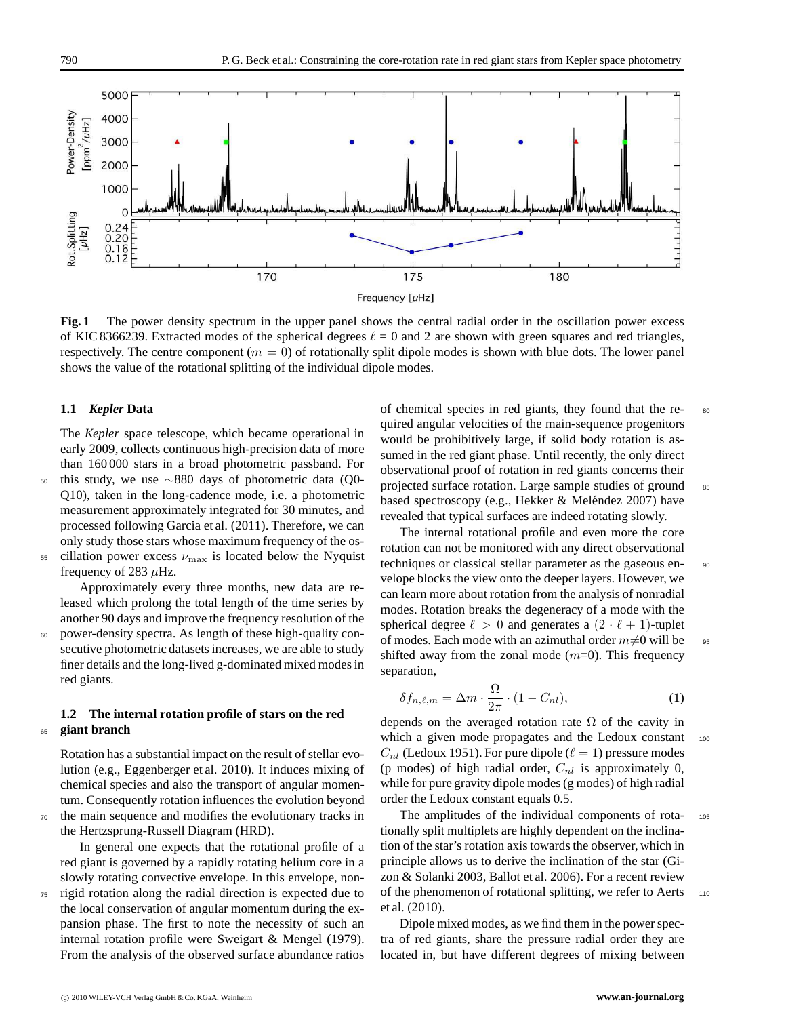

<span id="page-1-0"></span>**Fig. 1** The power density spectrum in the upper panel shows the central radial order in the oscillation power excess of KIC 8366239. Extracted modes of the spherical degrees  $\ell = 0$  and 2 are shown with green squares and red triangles, respectively. The centre component ( $m = 0$ ) of rotationally split dipole modes is shown with blue dots. The lower panel shows the value of the rotational splitting of the individual dipole modes.

#### **1.1** *Kepler* **Data**

The *Kepler* space telescope, which became operational in early 2009, collects continuous high-precision data of more than 160 000 stars in a broad photometric passband. For

<sup>50</sup> this study, we use ∼880 days of photometric data (Q0- Q10), taken in the long-cadence mode, i.e. a photometric measurement approximately integrated for 30 minutes, and processed following Garcia et al. (2011). Therefore, we can only study those stars whose maximum frequency of the os-

 $55$  cillation power excess  $\nu_{\text{max}}$  is located below the Nyquist frequency of 283  $\mu$ Hz.

Approximately every three months, new data are released which prolong the total length of the time series by another 90 days and improve the frequency resolution of the

<sup>60</sup> power-density spectra. As length of these high-quality consecutive photometric datasets increases, we are able to study finer details and the long-lived g-dominated mixed modes in red giants.

#### **1.2 The internal rotation profile of stars on the red** <sup>65</sup> **giant branch**

Rotation has a substantial impact on the result of stellar evolution (e.g., Eggenberger et al. 2010). It induces mixing of chemical species and also the transport of angular momentum. Consequently rotation influences the evolution beyond the main sequence and modifies the evolutionary tracks in the Hertzsprung-Russell Diagram (HRD).

In general one expects that the rotational profile of a red giant is governed by a rapidly rotating helium core in a slowly rotating convective envelope. In this envelope, non-

<sup>75</sup> rigid rotation along the radial direction is expected due to the local conservation of angular momentum during the expansion phase. The first to note the necessity of such an internal rotation profile were Sweigart & Mengel (1979). From the analysis of the observed surface abundance ratios of chemical species in red giants, they found that the re- <sup>80</sup> quired angular velocities of the main-sequence progenitors would be prohibitively large, if solid body rotation is assumed in the red giant phase. Until recently, the only direct observational proof of rotation in red giants concerns their projected surface rotation. Large sample studies of ground 85 based spectroscopy (e.g., Hekker & Meléndez 2007) have revealed that typical surfaces are indeed rotating slowly.

The internal rotational profile and even more the core rotation can not be monitored with any direct observational techniques or classical stellar parameter as the gaseous en- 90 velope blocks the view onto the deeper layers. However, we can learn more about rotation from the analysis of nonradial modes. Rotation breaks the degeneracy of a mode with the spherical degree  $\ell > 0$  and generates a  $(2 \cdot \ell + 1)$ -tuplet of modes. Each mode with an azimuthal order  $m\neq0$  will be 95 shifted away from the zonal mode  $(m=0)$ . This frequency separation,

$$
\delta f_{n,\ell,m} = \Delta m \cdot \frac{\Omega}{2\pi} \cdot (1 - C_{nl}),\tag{1}
$$

depends on the averaged rotation rate  $\Omega$  of the cavity in which a given mode propagates and the Ledoux constant 100  $C_{nl}$  (Ledoux 1951). For pure dipole ( $\ell = 1$ ) pressure modes (p modes) of high radial order,  $C_{nl}$  is approximately 0, while for pure gravity dipole modes (g modes) of high radial order the Ledoux constant equals 0.5.

The amplitudes of the individual components of rota- <sup>105</sup> tionally split multiplets are highly dependent on the inclination of the star's rotation axis towards the observer, which in principle allows us to derive the inclination of the star (Gizon & Solanki 2003, Ballot et al. 2006). For a recent review of the phenomenon of rotational splitting, we refer to Aerts 110 et al. (2010).

Dipole mixed modes, as we find them in the power spectra of red giants, share the pressure radial order they are located in, but have different degrees of mixing between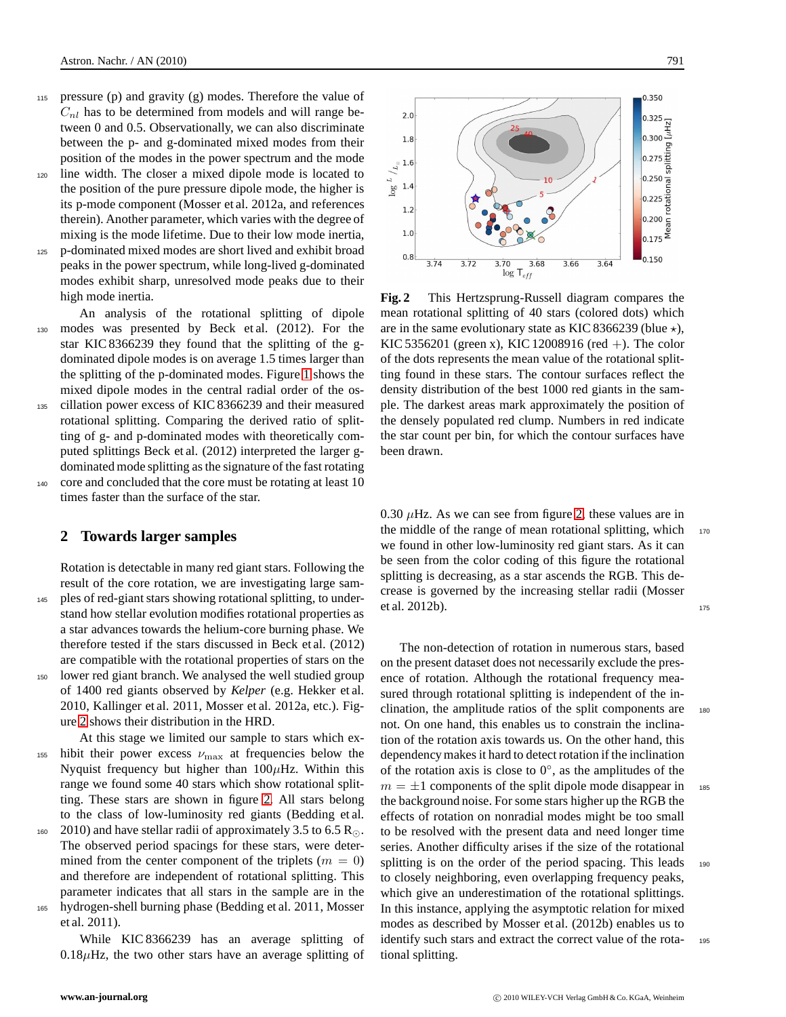- pressure  $(p)$  and gravity  $(g)$  modes. Therefore the value of  $C_{nl}$  has to be determined from models and will range between 0 and 0.5. Observationally, we can also discriminate between the p- and g-dominated mixed modes from their position of the modes in the power spectrum and the mode
- <sup>120</sup> line width. The closer a mixed dipole mode is located to the position of the pure pressure dipole mode, the higher is its p-mode component (Mosser et al. 2012a, and references therein). Another parameter, which varies with the degree of mixing is the mode lifetime. Due to their low mode inertia,
- <sup>125</sup> p-dominated mixed modes are short lived and exhibit broad peaks in the power spectrum, while long-lived g-dominated modes exhibit sharp, unresolved mode peaks due to their high mode inertia.
- An analysis of the rotational splitting of dipole <sup>130</sup> modes was presented by Beck et al. (2012). For the star KIC 8366239 they found that the splitting of the gdominated dipole modes is on average 1.5 times larger than the splitting of the p-dominated modes. Figure [1](#page-1-0) shows the mixed dipole modes in the central radial order of the os-<sup>135</sup> cillation power excess of KIC 8366239 and their measured rotational splitting. Comparing the derived ratio of splitting of g- and p-dominated modes with theoretically computed splittings Beck et al. (2012) interpreted the larger gdominated mode splitting as the signature of the fast rotating <sup>140</sup> core and concluded that the core must be rotating at least 10

### **2 Towards larger samples**

times faster than the surface of the star.

Rotation is detectable in many red giant stars. Following the result of the core rotation, we are investigating large sam-<sup>145</sup> ples of red-giant stars showing rotational splitting, to understand how stellar evolution modifies rotational properties as a star advances towards the helium-core burning phase. We therefore tested if the stars discussed in Beck et al. (2012) are compatible with the rotational properties of stars on the <sup>150</sup> lower red giant branch. We analysed the well studied group of 1400 red giants observed by *Kelper* (e.g. Hekker et al. 2010, Kallinger et al. 2011, Mosser et al. 2012a, etc.). Figure [2](#page-2-0) shows their distribution in the HRD.

At this stage we limited our sample to stars which ex-155 hibit their power excess  $\nu_{\text{max}}$  at frequencies below the Nyquist frequency but higher than  $100\mu$ Hz. Within this range we found some 40 stars which show rotational splitting. These stars are shown in figure [2.](#page-2-0) All stars belong to the class of low-luminosity red giants (Bedding et al.

- 160 2010) and have stellar radii of approximately 3.5 to 6.5 R<sub>⊙</sub>. The observed period spacings for these stars, were determined from the center component of the triplets ( $m = 0$ ) and therefore are independent of rotational splitting. This parameter indicates that all stars in the sample are in the <sup>165</sup> hydrogen-shell burning phase (Bedding et al. 2011, Mosser et al. 2011).
	- While KIC 8366239 has an average splitting of  $0.18\mu$ Hz, the two other stars have an average splitting of





<span id="page-2-0"></span>**Fig. 2** This Hertzsprung-Russell diagram compares the mean rotational splitting of 40 stars (colored dots) which are in the same evolutionary state as KIC 8366239 (blue  $\star$ ), KIC 5356201 (green x), KIC 12008916 (red +). The color of the dots represents the mean value of the rotational splitting found in these stars. The contour surfaces reflect the density distribution of the best 1000 red giants in the sample. The darkest areas mark approximately the position of the densely populated red clump. Numbers in red indicate the star count per bin, for which the contour surfaces have been drawn.

0.30  $\mu$ Hz. As we can see from figure [2,](#page-2-0) these values are in the middle of the range of mean rotational splitting, which  $170$ we found in other low-luminosity red giant stars. As it can be seen from the color coding of this figure the rotational splitting is decreasing, as a star ascends the RGB. This decrease is governed by the increasing stellar radii (Mosser et al. 2012b). 175

The non-detection of rotation in numerous stars, based on the present dataset does not necessarily exclude the presence of rotation. Although the rotational frequency measured through rotational splitting is independent of the inclination, the amplitude ratios of the split components are 180 not. On one hand, this enables us to constrain the inclination of the rotation axis towards us. On the other hand, this dependency makes it hard to detect rotation if the inclination of the rotation axis is close to  $0^\circ$ , as the amplitudes of the  $m = \pm 1$  components of the split dipole mode disappear in 185 the background noise. For some stars higher up the RGB the effects of rotation on nonradial modes might be too small to be resolved with the present data and need longer time series. Another difficulty arises if the size of the rotational splitting is on the order of the period spacing. This leads 190 to closely neighboring, even overlapping frequency peaks, which give an underestimation of the rotational splittings. In this instance, applying the asymptotic relation for mixed modes as described by Mosser et al. (2012b) enables us to identify such stars and extract the correct value of the rota- <sup>195</sup> tional splitting.